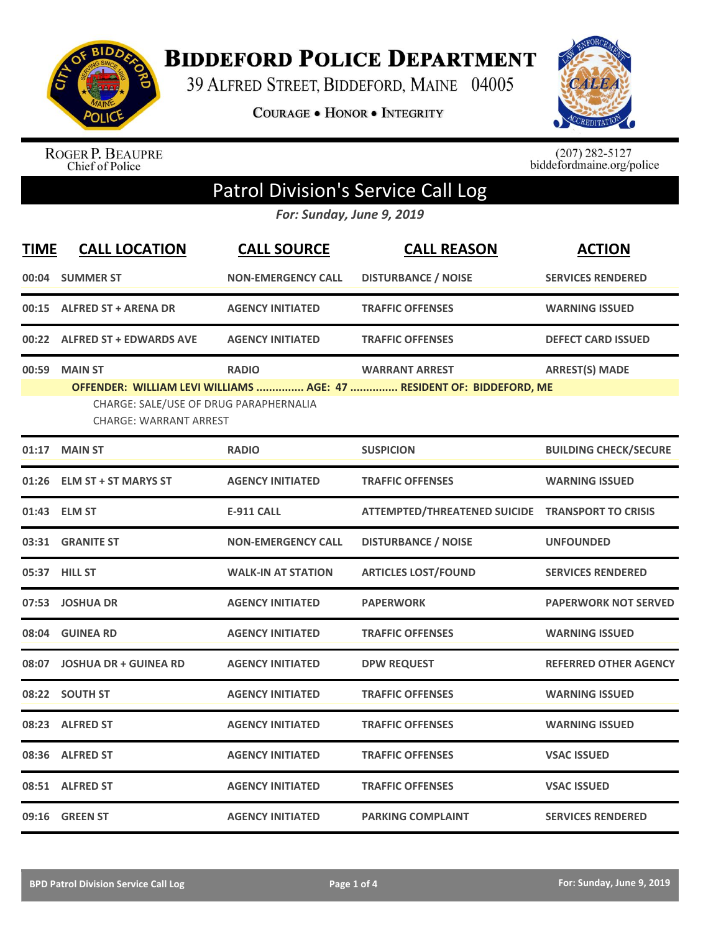

**BIDDEFORD POLICE DEPARTMENT** 

39 ALFRED STREET, BIDDEFORD, MAINE 04005

**COURAGE . HONOR . INTEGRITY** 



ROGER P. BEAUPRE<br>Chief of Police

 $(207)$  282-5127<br>biddefordmaine.org/police

## Patrol Division's Service Call Log

*For: Sunday, June 9, 2019*

| <b>TIME</b> | <b>CALL LOCATION</b>                                                                                                                            | <b>CALL SOURCE</b>        | <b>CALL REASON</b>                               | <b>ACTION</b>                |
|-------------|-------------------------------------------------------------------------------------------------------------------------------------------------|---------------------------|--------------------------------------------------|------------------------------|
| 00:04       | <b>SUMMER ST</b>                                                                                                                                | <b>NON-EMERGENCY CALL</b> | <b>DISTURBANCE / NOISE</b>                       | <b>SERVICES RENDERED</b>     |
| 00:15       | <b>ALFRED ST + ARENA DR</b>                                                                                                                     | <b>AGENCY INITIATED</b>   | <b>TRAFFIC OFFENSES</b>                          | <b>WARNING ISSUED</b>        |
| 00:22       | <b>ALFRED ST + EDWARDS AVE</b>                                                                                                                  | <b>AGENCY INITIATED</b>   | <b>TRAFFIC OFFENSES</b>                          | <b>DEFECT CARD ISSUED</b>    |
| 00:59       | <b>MAIN ST</b>                                                                                                                                  | <b>RADIO</b>              | <b>WARRANT ARREST</b>                            | <b>ARREST(S) MADE</b>        |
|             | OFFENDER: WILLIAM LEVI WILLIAMS  AGE: 47  RESIDENT OF: BIDDEFORD, ME<br>CHARGE: SALE/USE OF DRUG PARAPHERNALIA<br><b>CHARGE: WARRANT ARREST</b> |                           |                                                  |                              |
|             | 01:17 MAIN ST                                                                                                                                   | <b>RADIO</b>              | <b>SUSPICION</b>                                 | <b>BUILDING CHECK/SECURE</b> |
| 01:26       | <b>ELM ST + ST MARYS ST</b>                                                                                                                     | <b>AGENCY INITIATED</b>   | <b>TRAFFIC OFFENSES</b>                          | <b>WARNING ISSUED</b>        |
|             | 01:43 ELM ST                                                                                                                                    | <b>E-911 CALL</b>         | ATTEMPTED/THREATENED SUICIDE TRANSPORT TO CRISIS |                              |
|             | 03:31 GRANITE ST                                                                                                                                | <b>NON-EMERGENCY CALL</b> | <b>DISTURBANCE / NOISE</b>                       | <b>UNFOUNDED</b>             |
|             | 05:37 HILL ST                                                                                                                                   | <b>WALK-IN AT STATION</b> | <b>ARTICLES LOST/FOUND</b>                       | <b>SERVICES RENDERED</b>     |
|             | 07:53 JOSHUA DR                                                                                                                                 | <b>AGENCY INITIATED</b>   | <b>PAPERWORK</b>                                 | <b>PAPERWORK NOT SERVED</b>  |
| 08:04       | <b>GUINEA RD</b>                                                                                                                                | <b>AGENCY INITIATED</b>   | <b>TRAFFIC OFFENSES</b>                          | <b>WARNING ISSUED</b>        |
| 08:07       | <b>JOSHUA DR + GUINEA RD</b>                                                                                                                    | <b>AGENCY INITIATED</b>   | <b>DPW REQUEST</b>                               | <b>REFERRED OTHER AGENCY</b> |
|             | 08:22 SOUTH ST                                                                                                                                  | <b>AGENCY INITIATED</b>   | <b>TRAFFIC OFFENSES</b>                          | <b>WARNING ISSUED</b>        |
|             | 08:23 ALFRED ST                                                                                                                                 | <b>AGENCY INITIATED</b>   | <b>TRAFFIC OFFENSES</b>                          | <b>WARNING ISSUED</b>        |
|             | 08:36 ALFRED ST                                                                                                                                 | <b>AGENCY INITIATED</b>   | <b>TRAFFIC OFFENSES</b>                          | <b>VSAC ISSUED</b>           |
|             | 08:51 ALFRED ST                                                                                                                                 | <b>AGENCY INITIATED</b>   | <b>TRAFFIC OFFENSES</b>                          | <b>VSAC ISSUED</b>           |
|             | 09:16 GREEN ST                                                                                                                                  | <b>AGENCY INITIATED</b>   | <b>PARKING COMPLAINT</b>                         | <b>SERVICES RENDERED</b>     |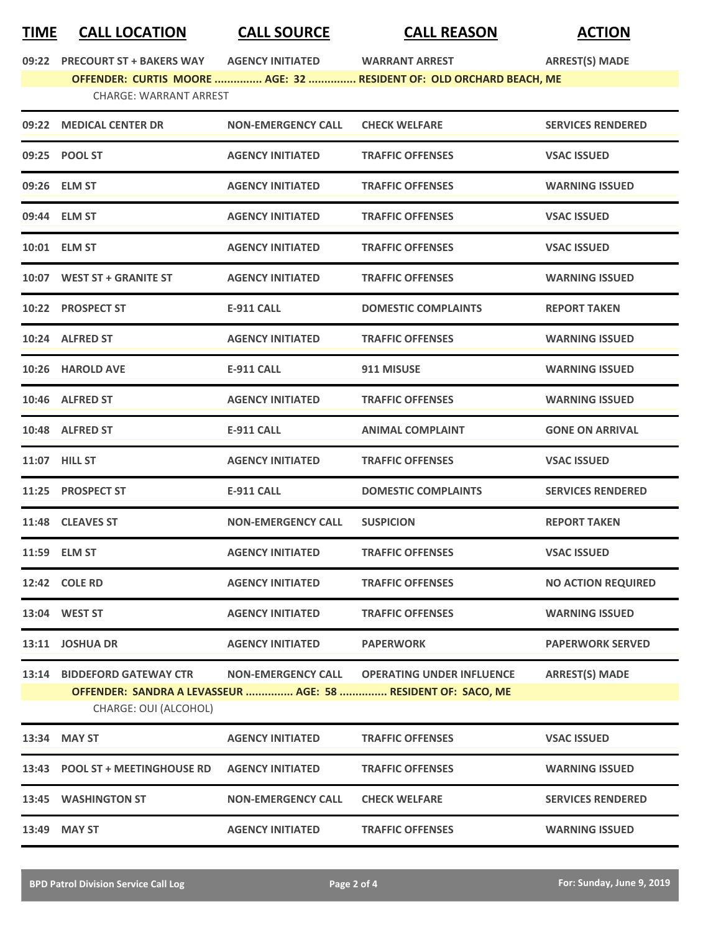## **TIME CALL LOCATION CALL SOURCE CALL REASON ACTION**

**09:22 PRECOURT ST + BAKERS WAY AGENCY INITIATED WARRANT ARREST ARREST(S) MADE**

## **OFFENDER: CURTIS MOORE ............... AGE: 32 ............... RESIDENT OF: OLD ORCHARD BEACH, ME**

| <b>CHARGE: WARRANT ARREST</b> |  |
|-------------------------------|--|
|                               |  |

|       | 09:22 MEDICAL CENTER DR                               | <b>NON-EMERGENCY CALL</b> | <b>CHECK WELFARE</b>                                                                             | <b>SERVICES RENDERED</b>  |
|-------|-------------------------------------------------------|---------------------------|--------------------------------------------------------------------------------------------------|---------------------------|
|       | 09:25 POOL ST                                         | <b>AGENCY INITIATED</b>   | <b>TRAFFIC OFFENSES</b>                                                                          | <b>VSAC ISSUED</b>        |
|       | 09:26 ELM ST                                          | <b>AGENCY INITIATED</b>   | <b>TRAFFIC OFFENSES</b>                                                                          | <b>WARNING ISSUED</b>     |
|       | 09:44 ELM ST                                          | <b>AGENCY INITIATED</b>   | <b>TRAFFIC OFFENSES</b>                                                                          | <b>VSAC ISSUED</b>        |
|       | 10:01 ELM ST                                          | <b>AGENCY INITIATED</b>   | <b>TRAFFIC OFFENSES</b>                                                                          | <b>VSAC ISSUED</b>        |
|       | 10:07 WEST ST + GRANITE ST                            | <b>AGENCY INITIATED</b>   | <b>TRAFFIC OFFENSES</b>                                                                          | <b>WARNING ISSUED</b>     |
|       | 10:22 PROSPECT ST                                     | <b>E-911 CALL</b>         | <b>DOMESTIC COMPLAINTS</b>                                                                       | <b>REPORT TAKEN</b>       |
|       | 10:24 ALFRED ST                                       | <b>AGENCY INITIATED</b>   | <b>TRAFFIC OFFENSES</b>                                                                          | <b>WARNING ISSUED</b>     |
|       | 10:26 HAROLD AVE                                      | <b>E-911 CALL</b>         | 911 MISUSE                                                                                       | <b>WARNING ISSUED</b>     |
|       | 10:46 ALFRED ST                                       | <b>AGENCY INITIATED</b>   | <b>TRAFFIC OFFENSES</b>                                                                          | <b>WARNING ISSUED</b>     |
|       | 10:48 ALFRED ST                                       | <b>E-911 CALL</b>         | <b>ANIMAL COMPLAINT</b>                                                                          | <b>GONE ON ARRIVAL</b>    |
|       | 11:07 HILL ST                                         | <b>AGENCY INITIATED</b>   | <b>TRAFFIC OFFENSES</b>                                                                          | <b>VSAC ISSUED</b>        |
|       | 11:25 PROSPECT ST                                     | <b>E-911 CALL</b>         | <b>DOMESTIC COMPLAINTS</b>                                                                       | <b>SERVICES RENDERED</b>  |
|       | 11:48 CLEAVES ST                                      | <b>NON-EMERGENCY CALL</b> | <b>SUSPICION</b>                                                                                 | <b>REPORT TAKEN</b>       |
|       | 11:59 ELM ST                                          | <b>AGENCY INITIATED</b>   | <b>TRAFFIC OFFENSES</b>                                                                          | <b>VSAC ISSUED</b>        |
|       | 12:42 COLE RD                                         | <b>AGENCY INITIATED</b>   | <b>TRAFFIC OFFENSES</b>                                                                          | <b>NO ACTION REQUIRED</b> |
|       | 13:04 WEST ST                                         | <b>AGENCY INITIATED</b>   | <b>TRAFFIC OFFENSES</b>                                                                          | <b>WARNING ISSUED</b>     |
|       | 13:11 JOSHUA DR                                       | <b>AGENCY INITIATED</b>   | <b>PAPERWORK</b>                                                                                 | <b>PAPERWORK SERVED</b>   |
| 13:14 | <b>BIDDEFORD GATEWAY CTR</b><br>CHARGE: OUI (ALCOHOL) | <b>NON-EMERGENCY CALL</b> | <b>OPERATING UNDER INFLUENCE</b><br>OFFENDER: SANDRA A LEVASSEUR  AGE: 58  RESIDENT OF: SACO, ME | <b>ARREST(S) MADE</b>     |
| 13:34 | <b>MAY ST</b>                                         | <b>AGENCY INITIATED</b>   | <b>TRAFFIC OFFENSES</b>                                                                          | <b>VSAC ISSUED</b>        |
| 13:43 | <b>POOL ST + MEETINGHOUSE RD</b>                      | <b>AGENCY INITIATED</b>   | <b>TRAFFIC OFFENSES</b>                                                                          | <b>WARNING ISSUED</b>     |
|       | 13:45 WASHINGTON ST                                   | <b>NON-EMERGENCY CALL</b> | <b>CHECK WELFARE</b>                                                                             | <b>SERVICES RENDERED</b>  |
|       | 13:49 MAY ST                                          | <b>AGENCY INITIATED</b>   | <b>TRAFFIC OFFENSES</b>                                                                          | <b>WARNING ISSUED</b>     |
|       |                                                       |                           |                                                                                                  |                           |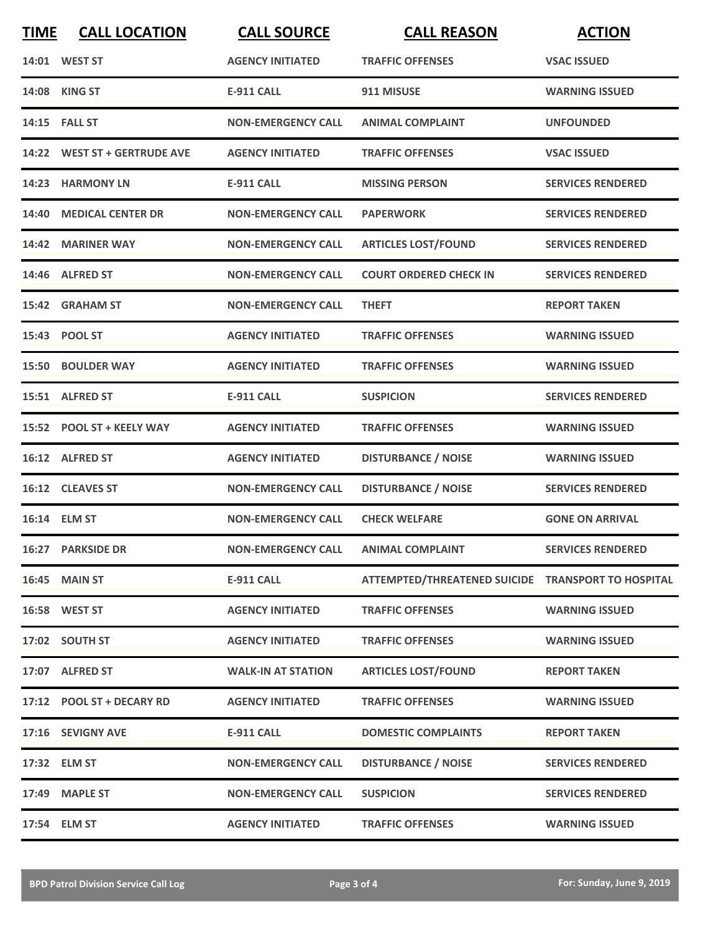| <b>TIME</b> | <b>CALL LOCATION</b>         | <b>CALL SOURCE</b>        | <b>CALL REASON</b>                                 | <b>ACTION</b>            |
|-------------|------------------------------|---------------------------|----------------------------------------------------|--------------------------|
|             | 14:01 WEST ST                | <b>AGENCY INITIATED</b>   | <b>TRAFFIC OFFENSES</b>                            | <b>VSAC ISSUED</b>       |
|             | 14:08 KING ST                | <b>E-911 CALL</b>         | 911 MISUSE                                         | <b>WARNING ISSUED</b>    |
|             | 14:15 FALL ST                | <b>NON-EMERGENCY CALL</b> | <b>ANIMAL COMPLAINT</b>                            | <b>UNFOUNDED</b>         |
|             | 14:22 WEST ST + GERTRUDE AVE | <b>AGENCY INITIATED</b>   | <b>TRAFFIC OFFENSES</b>                            | <b>VSAC ISSUED</b>       |
|             | 14:23 HARMONY LN             | <b>E-911 CALL</b>         | <b>MISSING PERSON</b>                              | <b>SERVICES RENDERED</b> |
|             | 14:40 MEDICAL CENTER DR      | <b>NON-EMERGENCY CALL</b> | <b>PAPERWORK</b>                                   | <b>SERVICES RENDERED</b> |
|             | 14:42 MARINER WAY            | <b>NON-EMERGENCY CALL</b> | <b>ARTICLES LOST/FOUND</b>                         | <b>SERVICES RENDERED</b> |
|             | 14:46 ALFRED ST              | <b>NON-EMERGENCY CALL</b> | <b>COURT ORDERED CHECK IN</b>                      | <b>SERVICES RENDERED</b> |
|             | 15:42 GRAHAM ST              | <b>NON-EMERGENCY CALL</b> | <b>THEFT</b>                                       | <b>REPORT TAKEN</b>      |
|             | 15:43 POOL ST                | <b>AGENCY INITIATED</b>   | <b>TRAFFIC OFFENSES</b>                            | <b>WARNING ISSUED</b>    |
|             | <b>15:50 BOULDER WAY</b>     | <b>AGENCY INITIATED</b>   | <b>TRAFFIC OFFENSES</b>                            | <b>WARNING ISSUED</b>    |
|             | 15:51 ALFRED ST              | <b>E-911 CALL</b>         | <b>SUSPICION</b>                                   | <b>SERVICES RENDERED</b> |
|             | 15:52 POOL ST + KEELY WAY    | <b>AGENCY INITIATED</b>   | <b>TRAFFIC OFFENSES</b>                            | <b>WARNING ISSUED</b>    |
|             | 16:12 ALFRED ST              | <b>AGENCY INITIATED</b>   | <b>DISTURBANCE / NOISE</b>                         | <b>WARNING ISSUED</b>    |
|             | 16:12 CLEAVES ST             | <b>NON-EMERGENCY CALL</b> | <b>DISTURBANCE / NOISE</b>                         | <b>SERVICES RENDERED</b> |
|             | 16:14 ELM ST                 | <b>NON-EMERGENCY CALL</b> | <b>CHECK WELFARE</b>                               | <b>GONE ON ARRIVAL</b>   |
|             | <b>16:27 PARKSIDE DR</b>     | <b>NON-EMERGENCY CALL</b> | <b>ANIMAL COMPLAINT</b>                            | <b>SERVICES RENDERED</b> |
|             | <b>16:45 MAIN ST</b>         | E-911 CALL                | ATTEMPTED/THREATENED SUICIDE TRANSPORT TO HOSPITAL |                          |
|             | 16:58 WEST ST                | <b>AGENCY INITIATED</b>   | <b>TRAFFIC OFFENSES</b>                            | <b>WARNING ISSUED</b>    |
|             | 17:02 SOUTH ST               | <b>AGENCY INITIATED</b>   | <b>TRAFFIC OFFENSES</b>                            | <b>WARNING ISSUED</b>    |
|             | 17:07 ALFRED ST              | <b>WALK-IN AT STATION</b> | <b>ARTICLES LOST/FOUND</b>                         | <b>REPORT TAKEN</b>      |
|             | 17:12 POOL ST + DECARY RD    | <b>AGENCY INITIATED</b>   | <b>TRAFFIC OFFENSES</b>                            | <b>WARNING ISSUED</b>    |
|             | 17:16 SEVIGNY AVE            | E-911 CALL                | <b>DOMESTIC COMPLAINTS</b>                         | <b>REPORT TAKEN</b>      |
|             | 17:32 ELM ST                 | <b>NON-EMERGENCY CALL</b> | <b>DISTURBANCE / NOISE</b>                         | <b>SERVICES RENDERED</b> |
|             | 17:49 MAPLE ST               | <b>NON-EMERGENCY CALL</b> | <b>SUSPICION</b>                                   | <b>SERVICES RENDERED</b> |
|             | 17:54 ELM ST                 | <b>AGENCY INITIATED</b>   | <b>TRAFFIC OFFENSES</b>                            | <b>WARNING ISSUED</b>    |